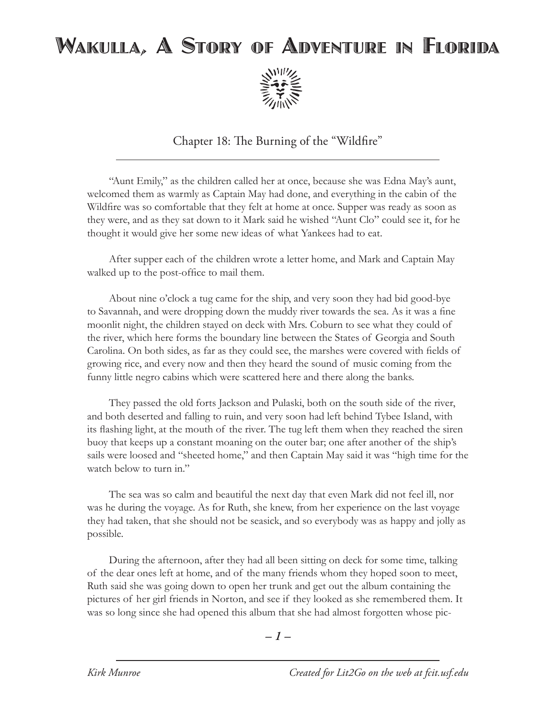## Wakulla, A Story of Adventure in Florida



Chapter 18: The Burning of the "Wildfire"

"Aunt Emily," as the children called her at once, because she was Edna May's aunt, welcomed them as warmly as Captain May had done, and everything in the cabin of the Wildfire was so comfortable that they felt at home at once. Supper was ready as soon as they were, and as they sat down to it Mark said he wished "Aunt Clo" could see it, for he thought it would give her some new ideas of what Yankees had to eat.

After supper each of the children wrote a letter home, and Mark and Captain May walked up to the post-office to mail them.

About nine o'clock a tug came for the ship, and very soon they had bid good-bye to Savannah, and were dropping down the muddy river towards the sea. As it was a fine moonlit night, the children stayed on deck with Mrs. Coburn to see what they could of the river, which here forms the boundary line between the States of Georgia and South Carolina. On both sides, as far as they could see, the marshes were covered with fields of growing rice, and every now and then they heard the sound of music coming from the funny little negro cabins which were scattered here and there along the banks.

They passed the old forts Jackson and Pulaski, both on the south side of the river, and both deserted and falling to ruin, and very soon had left behind Tybee Island, with its flashing light, at the mouth of the river. The tug left them when they reached the siren buoy that keeps up a constant moaning on the outer bar; one after another of the ship's sails were loosed and "sheeted home," and then Captain May said it was "high time for the watch below to turn in."

The sea was so calm and beautiful the next day that even Mark did not feel ill, nor was he during the voyage. As for Ruth, she knew, from her experience on the last voyage they had taken, that she should not be seasick, and so everybody was as happy and jolly as possible.

During the afternoon, after they had all been sitting on deck for some time, talking of the dear ones left at home, and of the many friends whom they hoped soon to meet, Ruth said she was going down to open her trunk and get out the album containing the pictures of her girl friends in Norton, and see if they looked as she remembered them. It was so long since she had opened this album that she had almost forgotten whose pic-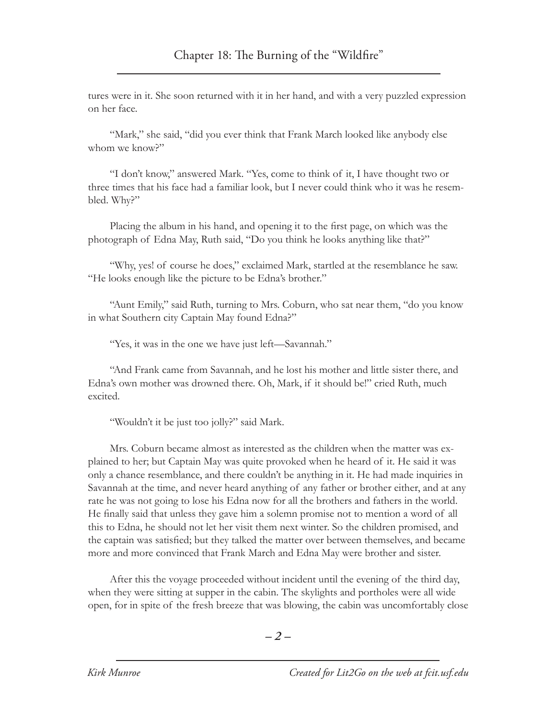tures were in it. She soon returned with it in her hand, and with a very puzzled expression on her face.

"Mark," she said, "did you ever think that Frank March looked like anybody else whom we know?"

"I don't know," answered Mark. "Yes, come to think of it, I have thought two or three times that his face had a familiar look, but I never could think who it was he resembled. Why?"

Placing the album in his hand, and opening it to the first page, on which was the photograph of Edna May, Ruth said, "Do you think he looks anything like that?"

"Why, yes! of course he does," exclaimed Mark, startled at the resemblance he saw. "He looks enough like the picture to be Edna's brother."

"Aunt Emily," said Ruth, turning to Mrs. Coburn, who sat near them, "do you know in what Southern city Captain May found Edna?"

"Yes, it was in the one we have just left—Savannah."

"And Frank came from Savannah, and he lost his mother and little sister there, and Edna's own mother was drowned there. Oh, Mark, if it should be!" cried Ruth, much excited.

"Wouldn't it be just too jolly?" said Mark.

Mrs. Coburn became almost as interested as the children when the matter was explained to her; but Captain May was quite provoked when he heard of it. He said it was only a chance resemblance, and there couldn't be anything in it. He had made inquiries in Savannah at the time, and never heard anything of any father or brother either, and at any rate he was not going to lose his Edna now for all the brothers and fathers in the world. He finally said that unless they gave him a solemn promise not to mention a word of all this to Edna, he should not let her visit them next winter. So the children promised, and the captain was satisfied; but they talked the matter over between themselves, and became more and more convinced that Frank March and Edna May were brother and sister.

After this the voyage proceeded without incident until the evening of the third day, when they were sitting at supper in the cabin. The skylights and portholes were all wide open, for in spite of the fresh breeze that was blowing, the cabin was uncomfortably close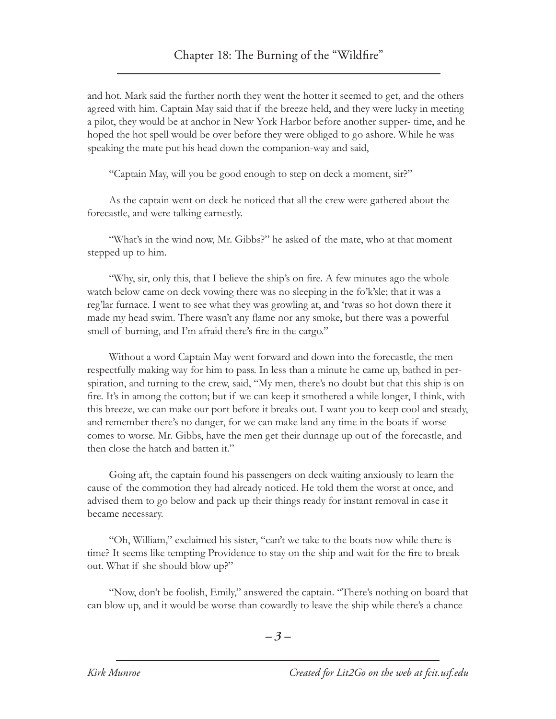and hot. Mark said the further north they went the hotter it seemed to get, and the others agreed with him. Captain May said that if the breeze held, and they were lucky in meeting a pilot, they would be at anchor in New York Harbor before another supper- time, and he hoped the hot spell would be over before they were obliged to go ashore. While he was speaking the mate put his head down the companion-way and said,

"Captain May, will you be good enough to step on deck a moment, sir?"

As the captain went on deck he noticed that all the crew were gathered about the forecastle, and were talking earnestly.

"What's in the wind now, Mr. Gibbs?" he asked of the mate, who at that moment stepped up to him.

"Why, sir, only this, that I believe the ship's on fire. A few minutes ago the whole watch below came on deck vowing there was no sleeping in the fo'k'sle; that it was a reg'lar furnace. I went to see what they was growling at, and 'twas so hot down there it made my head swim. There wasn't any flame nor any smoke, but there was a powerful smell of burning, and I'm afraid there's fire in the cargo."

Without a word Captain May went forward and down into the forecastle, the men respectfully making way for him to pass. In less than a minute he came up, bathed in perspiration, and turning to the crew, said, "My men, there's no doubt but that this ship is on fire. It's in among the cotton; but if we can keep it smothered a while longer, I think, with this breeze, we can make our port before it breaks out. I want you to keep cool and steady, and remember there's no danger, for we can make land any time in the boats if worse comes to worse. Mr. Gibbs, have the men get their dunnage up out of the forecastle, and then close the hatch and batten it."

Going aft, the captain found his passengers on deck waiting anxiously to learn the cause of the commotion they had already noticed. He told them the worst at once, and advised them to go below and pack up their things ready for instant removal in case it became necessary.

"Oh, William," exclaimed his sister, "can't we take to the boats now while there is time? It seems like tempting Providence to stay on the ship and wait for the fire to break out. What if she should blow up?"

"Now, don't be foolish, Emily," answered the captain. "There's nothing on board that can blow up, and it would be worse than cowardly to leave the ship while there's a chance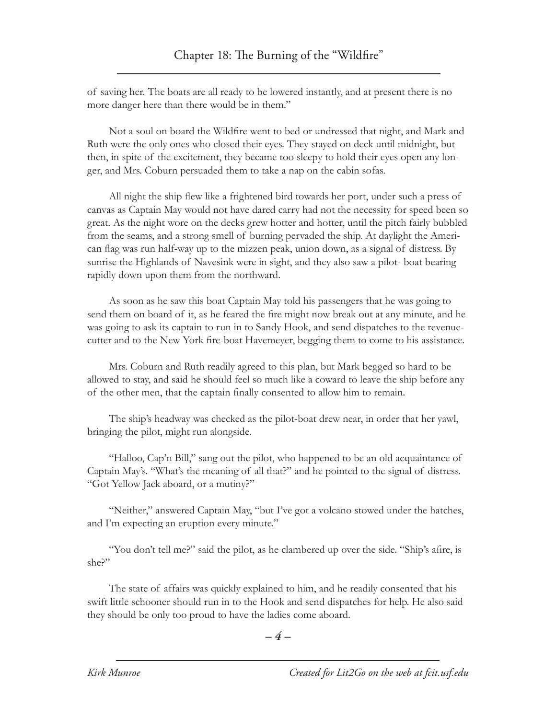of saving her. The boats are all ready to be lowered instantly, and at present there is no more danger here than there would be in them."

Not a soul on board the Wildfire went to bed or undressed that night, and Mark and Ruth were the only ones who closed their eyes. They stayed on deck until midnight, but then, in spite of the excitement, they became too sleepy to hold their eyes open any longer, and Mrs. Coburn persuaded them to take a nap on the cabin sofas.

All night the ship flew like a frightened bird towards her port, under such a press of canvas as Captain May would not have dared carry had not the necessity for speed been so great. As the night wore on the decks grew hotter and hotter, until the pitch fairly bubbled from the seams, and a strong smell of burning pervaded the ship. At daylight the American flag was run half-way up to the mizzen peak, union down, as a signal of distress. By sunrise the Highlands of Navesink were in sight, and they also saw a pilot- boat bearing rapidly down upon them from the northward.

As soon as he saw this boat Captain May told his passengers that he was going to send them on board of it, as he feared the fire might now break out at any minute, and he was going to ask its captain to run in to Sandy Hook, and send dispatches to the revenuecutter and to the New York fire-boat Havemeyer, begging them to come to his assistance.

Mrs. Coburn and Ruth readily agreed to this plan, but Mark begged so hard to be allowed to stay, and said he should feel so much like a coward to leave the ship before any of the other men, that the captain finally consented to allow him to remain.

The ship's headway was checked as the pilot-boat drew near, in order that her yawl, bringing the pilot, might run alongside.

"Halloo, Cap'n Bill," sang out the pilot, who happened to be an old acquaintance of Captain May's. "What's the meaning of all that?" and he pointed to the signal of distress. "Got Yellow Jack aboard, or a mutiny?"

"Neither," answered Captain May, "but I've got a volcano stowed under the hatches, and I'm expecting an eruption every minute."

"You don't tell me?" said the pilot, as he clambered up over the side. "Ship's afire, is she?"

The state of affairs was quickly explained to him, and he readily consented that his swift little schooner should run in to the Hook and send dispatches for help. He also said they should be only too proud to have the ladies come aboard.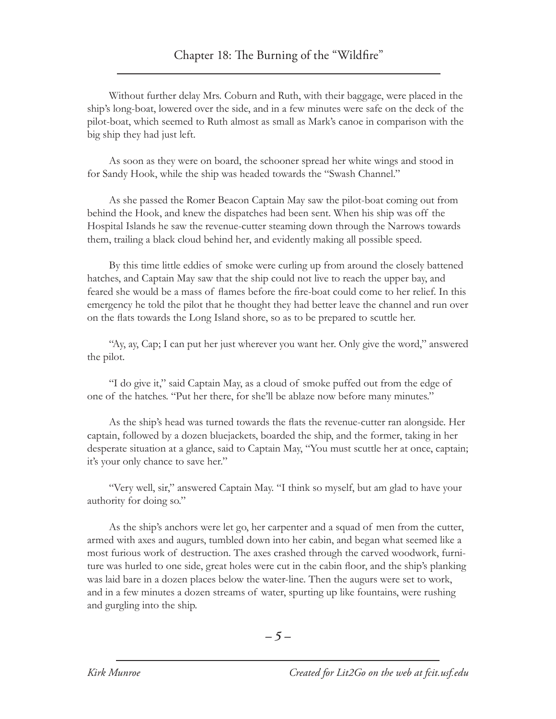Without further delay Mrs. Coburn and Ruth, with their baggage, were placed in the ship's long-boat, lowered over the side, and in a few minutes were safe on the deck of the pilot-boat, which seemed to Ruth almost as small as Mark's canoe in comparison with the big ship they had just left.

As soon as they were on board, the schooner spread her white wings and stood in for Sandy Hook, while the ship was headed towards the "Swash Channel."

As she passed the Romer Beacon Captain May saw the pilot-boat coming out from behind the Hook, and knew the dispatches had been sent. When his ship was off the Hospital Islands he saw the revenue-cutter steaming down through the Narrows towards them, trailing a black cloud behind her, and evidently making all possible speed.

By this time little eddies of smoke were curling up from around the closely battened hatches, and Captain May saw that the ship could not live to reach the upper bay, and feared she would be a mass of flames before the fire-boat could come to her relief. In this emergency he told the pilot that he thought they had better leave the channel and run over on the flats towards the Long Island shore, so as to be prepared to scuttle her.

"Ay, ay, Cap; I can put her just wherever you want her. Only give the word," answered the pilot.

"I do give it," said Captain May, as a cloud of smoke puffed out from the edge of one of the hatches. "Put her there, for she'll be ablaze now before many minutes."

As the ship's head was turned towards the flats the revenue-cutter ran alongside. Her captain, followed by a dozen bluejackets, boarded the ship, and the former, taking in her desperate situation at a glance, said to Captain May, "You must scuttle her at once, captain; it's your only chance to save her."

"Very well, sir," answered Captain May. "I think so myself, but am glad to have your authority for doing so."

As the ship's anchors were let go, her carpenter and a squad of men from the cutter, armed with axes and augurs, tumbled down into her cabin, and began what seemed like a most furious work of destruction. The axes crashed through the carved woodwork, furniture was hurled to one side, great holes were cut in the cabin floor, and the ship's planking was laid bare in a dozen places below the water-line. Then the augurs were set to work, and in a few minutes a dozen streams of water, spurting up like fountains, were rushing and gurgling into the ship.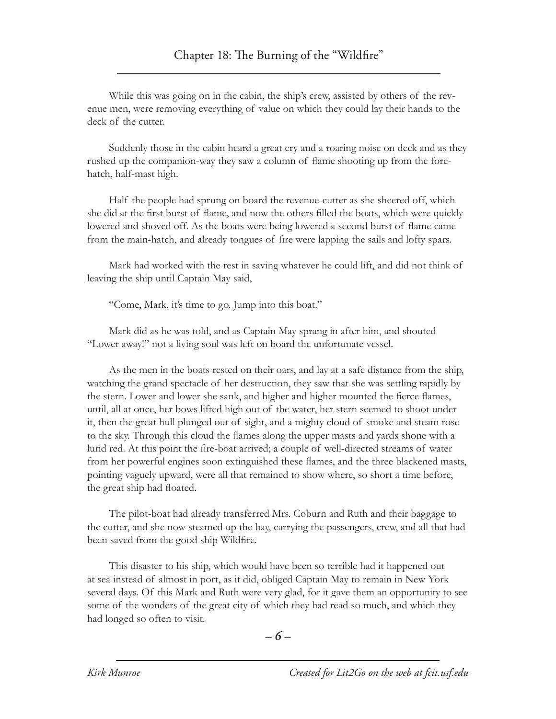While this was going on in the cabin, the ship's crew, assisted by others of the revenue men, were removing everything of value on which they could lay their hands to the deck of the cutter.

Suddenly those in the cabin heard a great cry and a roaring noise on deck and as they rushed up the companion-way they saw a column of flame shooting up from the forehatch, half-mast high.

Half the people had sprung on board the revenue-cutter as she sheered off, which she did at the first burst of flame, and now the others filled the boats, which were quickly lowered and shoved off. As the boats were being lowered a second burst of flame came from the main-hatch, and already tongues of fire were lapping the sails and lofty spars.

Mark had worked with the rest in saving whatever he could lift, and did not think of leaving the ship until Captain May said,

"Come, Mark, it's time to go. Jump into this boat."

Mark did as he was told, and as Captain May sprang in after him, and shouted "Lower away!" not a living soul was left on board the unfortunate vessel.

As the men in the boats rested on their oars, and lay at a safe distance from the ship, watching the grand spectacle of her destruction, they saw that she was settling rapidly by the stern. Lower and lower she sank, and higher and higher mounted the fierce flames, until, all at once, her bows lifted high out of the water, her stern seemed to shoot under it, then the great hull plunged out of sight, and a mighty cloud of smoke and steam rose to the sky. Through this cloud the flames along the upper masts and yards shone with a lurid red. At this point the fire-boat arrived; a couple of well-directed streams of water from her powerful engines soon extinguished these flames, and the three blackened masts, pointing vaguely upward, were all that remained to show where, so short a time before, the great ship had floated.

The pilot-boat had already transferred Mrs. Coburn and Ruth and their baggage to the cutter, and she now steamed up the bay, carrying the passengers, crew, and all that had been saved from the good ship Wildfire.

This disaster to his ship, which would have been so terrible had it happened out at sea instead of almost in port, as it did, obliged Captain May to remain in New York several days. Of this Mark and Ruth were very glad, for it gave them an opportunity to see some of the wonders of the great city of which they had read so much, and which they had longed so often to visit.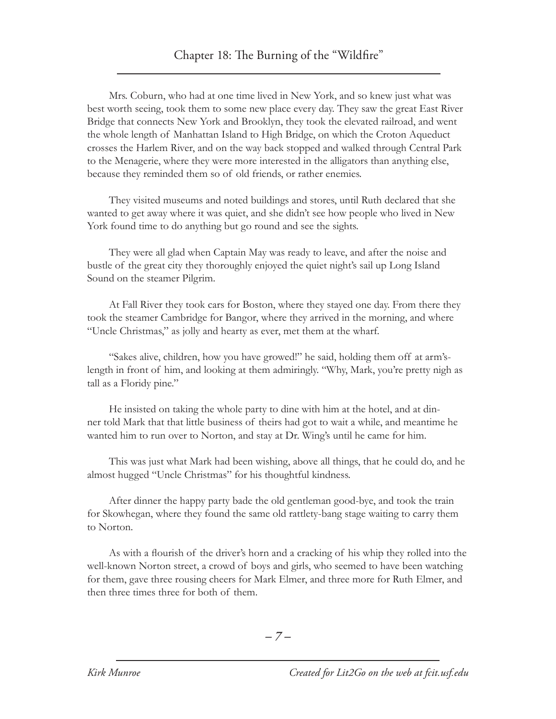Mrs. Coburn, who had at one time lived in New York, and so knew just what was best worth seeing, took them to some new place every day. They saw the great East River Bridge that connects New York and Brooklyn, they took the elevated railroad, and went the whole length of Manhattan Island to High Bridge, on which the Croton Aqueduct crosses the Harlem River, and on the way back stopped and walked through Central Park to the Menagerie, where they were more interested in the alligators than anything else, because they reminded them so of old friends, or rather enemies.

They visited museums and noted buildings and stores, until Ruth declared that she wanted to get away where it was quiet, and she didn't see how people who lived in New York found time to do anything but go round and see the sights.

They were all glad when Captain May was ready to leave, and after the noise and bustle of the great city they thoroughly enjoyed the quiet night's sail up Long Island Sound on the steamer Pilgrim.

At Fall River they took cars for Boston, where they stayed one day. From there they took the steamer Cambridge for Bangor, where they arrived in the morning, and where "Uncle Christmas," as jolly and hearty as ever, met them at the wharf.

"Sakes alive, children, how you have growed!" he said, holding them off at arm'slength in front of him, and looking at them admiringly. "Why, Mark, you're pretty nigh as tall as a Floridy pine."

He insisted on taking the whole party to dine with him at the hotel, and at dinner told Mark that that little business of theirs had got to wait a while, and meantime he wanted him to run over to Norton, and stay at Dr. Wing's until he came for him.

This was just what Mark had been wishing, above all things, that he could do, and he almost hugged "Uncle Christmas" for his thoughtful kindness.

After dinner the happy party bade the old gentleman good-bye, and took the train for Skowhegan, where they found the same old rattlety-bang stage waiting to carry them to Norton.

As with a flourish of the driver's horn and a cracking of his whip they rolled into the well-known Norton street, a crowd of boys and girls, who seemed to have been watching for them, gave three rousing cheers for Mark Elmer, and three more for Ruth Elmer, and then three times three for both of them.